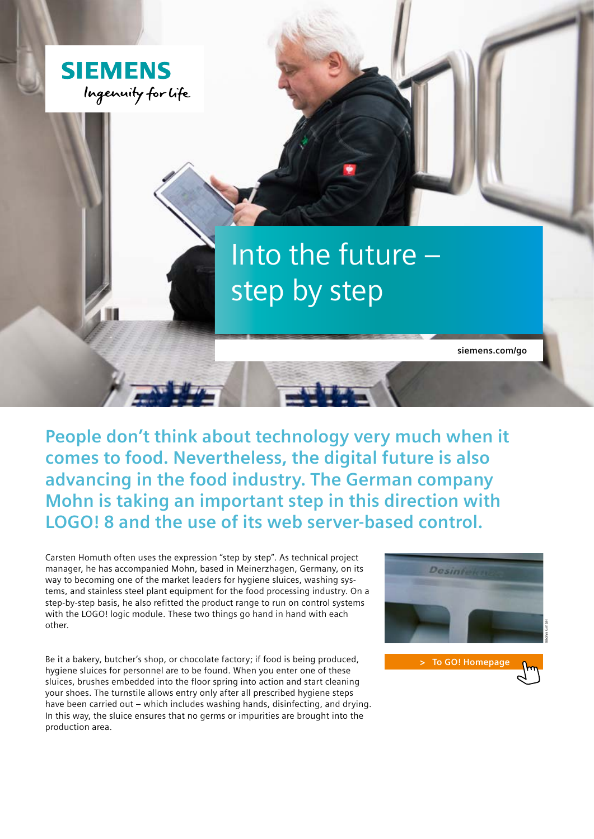

**People don't think about technology very much when it comes to food. Nevertheless, the digital future is also advancing in the food industry. The German company Mohn is taking an important step in this direction with LOGO! 8 and the use of its web server-based control.**

Carsten Homuth often uses the expression "step by step". As technical project manager, he has accompanied Mohn, based in Meinerzhagen, Germany, on its way to becoming one of the market leaders for hygiene sluices, washing systems, and stainless steel plant equipment for the food processing industry. On a step-by-step basis, he also refitted the product range to run on control systems with the LOGO! logic module. These two things go hand in hand with each other.

Be it a bakery, butcher's shop, or chocolate factory; if food is being produced, hygiene sluices for personnel are to be found. When you enter one of these sluices, brushes embedded into the floor spring into action and start cleaning your shoes. The turnstile allows entry only after all prescribed hygiene steps have been carried out – which includes washing hands, disinfecting, and drying. In this way, the sluice ensures that no germs or impurities are brought into the production area.



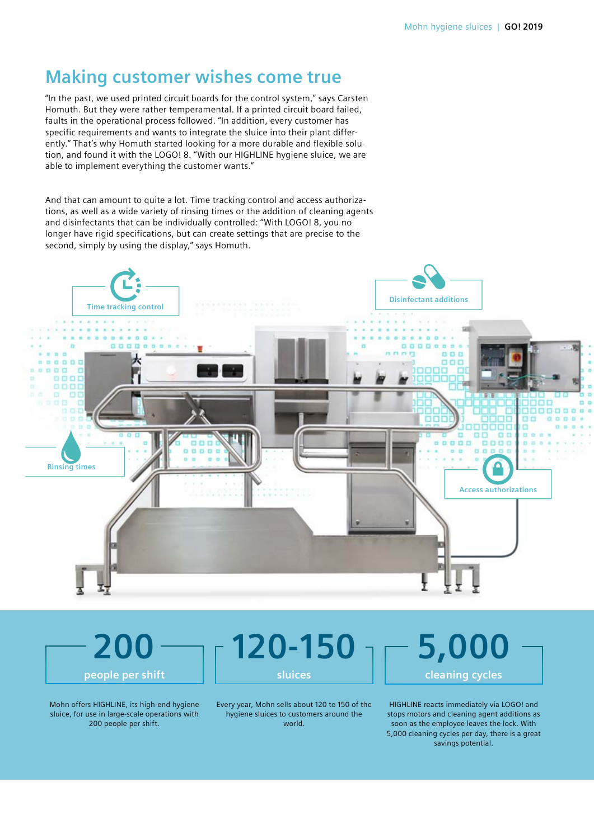# **Making customer wishes come true**

"In the past, we used printed circuit boards for the control system," says Carsten Homuth. But they were rather temperamental. If a printed circuit board failed, faults in the operational process followed. "In addition, every customer has specific requirements and wants to integrate the sluice into their plant differently." That's why Homuth started looking for a more durable and flexible solution, and found it with the LOGO! 8. "With our HIGHLINE hygiene sluice, we are able to implement everything the customer wants."

And that can amount to quite a lot. Time tracking control and access authorizations, as well as a wide variety of rinsing times or the addition of cleaning agents and disinfectants that can be individually controlled: "With LOGO! 8, you no longer have rigid specifications, but can create settings that are precise to the second, simply by using the display," says Homuth.



Mohn offers HIGHLINE, its high-end hygiene sluice, for use in large-scale operations with 200 people per shift.

**200**

**people per shift**

**120-150 sluices**

Every year, Mohn sells about 120 to 150 of the hygiene sluices to customers around the world.

**5,000 cleaning cycles** HIGHLINE reacts immediately via LOGO! and

stops motors and cleaning agent additions as soon as the employee leaves the lock. With 5,000 cleaning cycles per day, there is a great savings potential.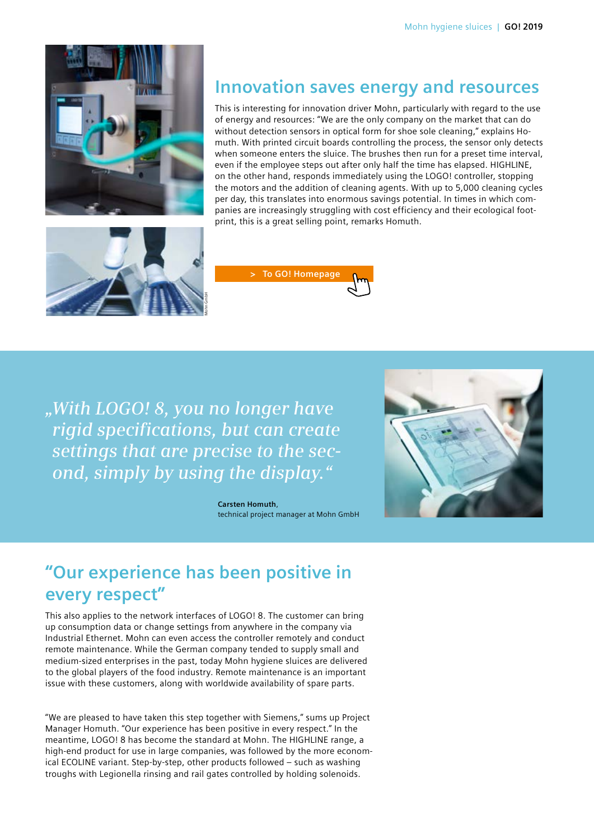

#### **Innovation saves energy and resources**

This is interesting for innovation driver Mohn, particularly with regard to the use of energy and resources: "We are the only company on the market that can do without detection sensors in optical form for shoe sole cleaning," explains Homuth. With printed circuit boards controlling the process, the sensor only detects when someone enters the sluice. The brushes then run for a preset time interval, even if the employee steps out after only half the time has elapsed. HIGHLINE, on the other hand, responds immediately using the LOGO! controller, stopping the motors and the addition of cleaning agents. With up to 5,000 cleaning cycles per day, this translates into enormous savings potential. In times in which companies are increasingly struggling with cost efficiency and their ecological footprint, this is a great selling point, remarks Homuth.





*"With LOGO! 8, you no longer have rigid specifications, but can create settings that are precise to the second, simply by using the display."* 

> **Carsten Homuth**, technical project manager at Mohn GmbH



## **"Our experience has been positive in every respect"**

This also applies to the network interfaces of LOGO! 8. The customer can bring up consumption data or change settings from anywhere in the company via Industrial Ethernet. Mohn can even access the controller remotely and conduct remote maintenance. While the German company tended to supply small and medium-sized enterprises in the past, today Mohn hygiene sluices are delivered to the global players of the food industry. Remote maintenance is an important issue with these customers, along with worldwide availability of spare parts.

"We are pleased to have taken this step together with Siemens," sums up Project Manager Homuth. "Our experience has been positive in every respect." In the meantime, LOGO! 8 has become the standard at Mohn. The HIGHLINE range, a high-end product for use in large companies, was followed by the more economical ECOLINE variant. Step-by-step, other products followed – such as washing troughs with Legionella rinsing and rail gates controlled by holding solenoids.